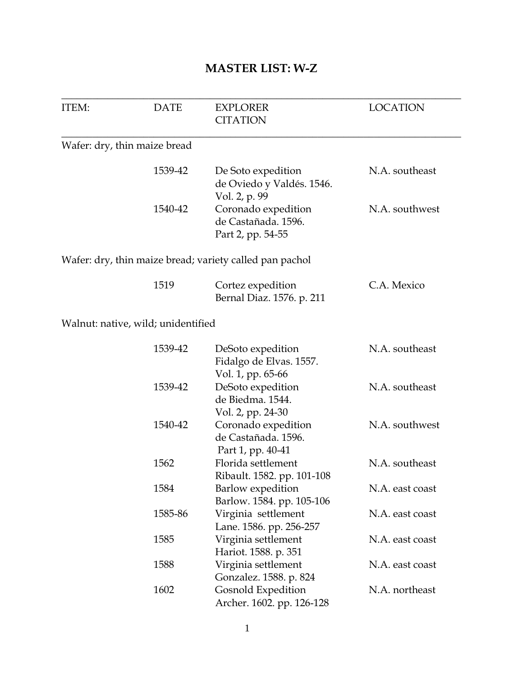## **MASTER LIST: W-Z**

| ITEM: | <b>DATE</b>                        | <b>EXPLORER</b><br><b>CITATION</b>                                | <b>LOCATION</b> |
|-------|------------------------------------|-------------------------------------------------------------------|-----------------|
|       | Wafer: dry, thin maize bread       |                                                                   |                 |
|       | 1539-42                            | De Soto expedition<br>de Oviedo y Valdés. 1546.<br>Vol. 2, p. 99  | N.A. southeast  |
|       | 1540-42                            | Coronado expedition<br>de Castañada. 1596.<br>Part 2, pp. 54-55   | N.A. southwest  |
|       |                                    | Wafer: dry, thin maize bread; variety called pan pachol           |                 |
|       | 1519                               | Cortez expedition<br>Bernal Diaz. 1576. p. 211                    | C.A. Mexico     |
|       | Walnut: native, wild; unidentified |                                                                   |                 |
|       | 1539-42                            | DeSoto expedition<br>Fidalgo de Elvas. 1557.<br>Vol. 1, pp. 65-66 | N.A. southeast  |
|       | 1539-42                            | DeSoto expedition<br>de Biedma. 1544.<br>Vol. 2, pp. 24-30        | N.A. southeast  |
|       | 1540-42                            | Coronado expedition<br>de Castañada. 1596.<br>Part 1, pp. 40-41   | N.A. southwest  |
|       | 1562                               | Florida settlement<br>Ribault. 1582. pp. 101-108                  | N.A. southeast  |
|       | 1584                               | Barlow expedition<br>Barlow. 1584. pp. 105-106                    | N.A. east coast |
|       | 1585-86                            | Virginia settlement<br>Lane. 1586. pp. 256-257                    | N.A. east coast |
|       | 1585                               | Virginia settlement<br>Hariot. 1588. p. 351                       | N.A. east coast |
|       | 1588                               | Virginia settlement<br>Gonzalez. 1588. p. 824                     | N.A. east coast |
|       | 1602                               | Gosnold Expedition<br>Archer. 1602. pp. 126-128                   | N.A. northeast  |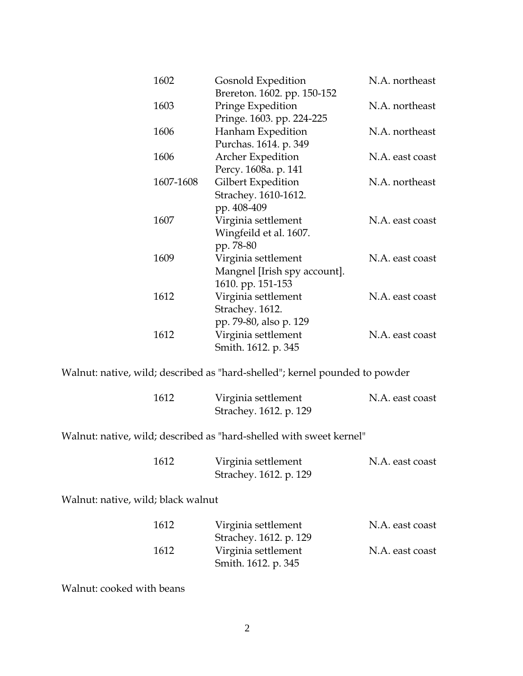| 1602      | Gosnold Expedition           | N.A. northeast  |
|-----------|------------------------------|-----------------|
|           | Brereton. 1602. pp. 150-152  |                 |
| 1603      | Pringe Expedition            | N.A. northeast  |
|           | Pringe. 1603. pp. 224-225    |                 |
| 1606      | Hanham Expedition            | N.A. northeast  |
|           | Purchas. 1614. p. 349        |                 |
| 1606      | Archer Expedition            | N.A. east coast |
|           | Percy. 1608a. p. 141         |                 |
| 1607-1608 | Gilbert Expedition           | N.A. northeast  |
|           | Strachey. 1610-1612.         |                 |
|           | pp. 408-409                  |                 |
| 1607      | Virginia settlement          | N.A. east coast |
|           | Wingfeild et al. 1607.       |                 |
|           | pp. 78-80                    |                 |
| 1609      | Virginia settlement          | N.A. east coast |
|           | Mangnel [Irish spy account]. |                 |
|           | 1610. pp. 151-153            |                 |
| 1612      | Virginia settlement          | N.A. east coast |
|           | Strachey. 1612.              |                 |
|           | pp. 79-80, also p. 129       |                 |
| 1612      | Virginia settlement          | N.A. east coast |
|           | Smith. 1612. p. 345          |                 |

Walnut: native, wild; described as "hard-shelled"; kernel pounded to powder

| 1612 | Virginia settlement    | N.A. east coast |
|------|------------------------|-----------------|
|      | Strachey. 1612. p. 129 |                 |

Walnut: native, wild; described as "hard-shelled with sweet kernel"

| 1612 | Virginia settlement    | N.A. east coast |
|------|------------------------|-----------------|
|      | Strachey. 1612. p. 129 |                 |

Walnut: native, wild; black walnut

| 1612 | Virginia settlement    | N.A. east coast |
|------|------------------------|-----------------|
|      | Strachey. 1612. p. 129 |                 |
| 1612 | Virginia settlement    | N.A. east coast |
|      | Smith. 1612. p. 345    |                 |

Walnut: cooked with beans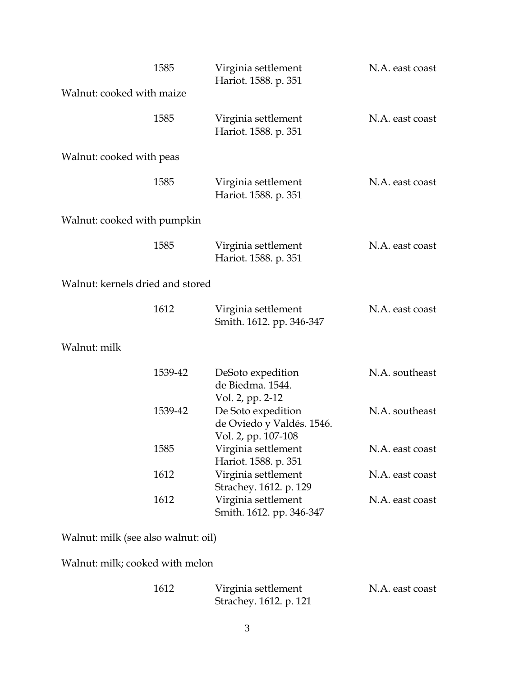|                                  | 1585    | Virginia settlement<br>Hariot. 1588. p. 351                            | N.A. east coast |
|----------------------------------|---------|------------------------------------------------------------------------|-----------------|
| Walnut: cooked with maize        |         |                                                                        |                 |
|                                  | 1585    | Virginia settlement<br>Hariot. 1588. p. 351                            | N.A. east coast |
| Walnut: cooked with peas         |         |                                                                        |                 |
|                                  | 1585    | Virginia settlement<br>Hariot. 1588. p. 351                            | N.A. east coast |
| Walnut: cooked with pumpkin      |         |                                                                        |                 |
|                                  | 1585    | Virginia settlement<br>Hariot. 1588. p. 351                            | N.A. east coast |
| Walnut: kernels dried and stored |         |                                                                        |                 |
|                                  | 1612    | Virginia settlement<br>Smith. 1612. pp. 346-347                        | N.A. east coast |
| Walnut: milk                     |         |                                                                        |                 |
|                                  | 1539-42 | DeSoto expedition<br>de Biedma. 1544.<br>Vol. 2, pp. 2-12              | N.A. southeast  |
|                                  | 1539-42 | De Soto expedition<br>de Oviedo y Valdés. 1546.<br>Vol. 2, pp. 107-108 | N.A. southeast  |
|                                  | 1585    | Virginia settlement<br>Hariot. 1588. p. 351                            | N.A. east coast |
|                                  | 1612    | Virginia settlement<br>Strachey. 1612. p. 129                          | N.A. east coast |
|                                  | 1612    | Virginia settlement<br>Smith. 1612. pp. 346-347                        | N.A. east coast |
|                                  |         |                                                                        |                 |

Walnut: milk (see also walnut: oil)

Walnut: milk; cooked with melon

| 1612 | Virginia settlement    | N.A. east coast |
|------|------------------------|-----------------|
|      | Strachey. 1612. p. 121 |                 |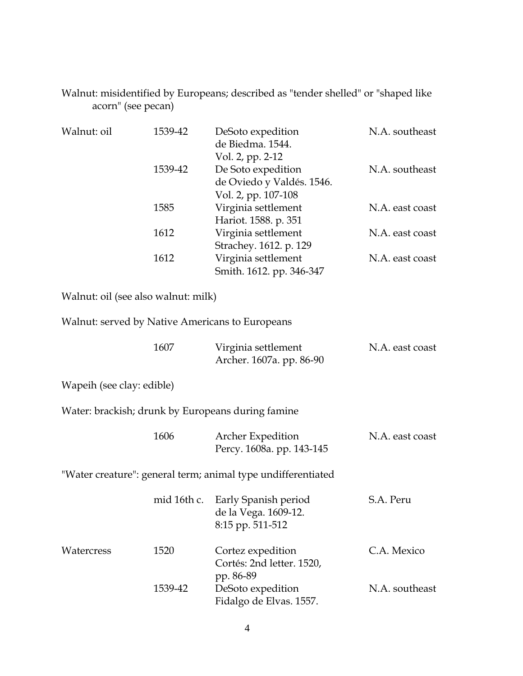Walnut: misidentified by Europeans; described as "tender shelled" or "shaped like acorn" (see pecan)

| Walnut: oil                         | 1539-42     | DeSoto expedition<br>de Biedma. 1544.<br>Vol. 2, pp. 2-12              | N.A. southeast  |
|-------------------------------------|-------------|------------------------------------------------------------------------|-----------------|
|                                     | 1539-42     | De Soto expedition<br>de Oviedo y Valdés. 1546.<br>Vol. 2, pp. 107-108 | N.A. southeast  |
|                                     | 1585        | Virginia settlement<br>Hariot. 1588. p. 351                            | N.A. east coast |
|                                     | 1612        | Virginia settlement<br>Strachey. 1612. p. 129                          | N.A. east coast |
|                                     | 1612        | Virginia settlement<br>Smith. 1612. pp. 346-347                        | N.A. east coast |
| Walnut: oil (see also walnut: milk) |             |                                                                        |                 |
|                                     |             | Walnut: served by Native Americans to Europeans                        |                 |
|                                     | 1607        | Virginia settlement<br>Archer. 1607a. pp. 86-90                        | N.A. east coast |
| Wapeih (see clay: edible)           |             |                                                                        |                 |
|                                     |             | Water: brackish; drunk by Europeans during famine                      |                 |
|                                     | 1606        | <b>Archer Expedition</b><br>Percy. 1608a. pp. 143-145                  | N.A. east coast |
|                                     |             | "Water creature": general term; animal type undifferentiated           |                 |
|                                     | mid 16th c. | Early Spanish period<br>de la Vega. 1609-12.<br>8:15 pp. 511-512       | S.A. Peru       |
| Watercress                          | 1520        | Cortez expedition<br>Cortés: 2nd letter. 1520,<br>pp. 86-89            | C.A. Mexico     |
|                                     | 1539-42     | DeSoto expedition<br>Fidalgo de Elvas. 1557.                           | N.A. southeast  |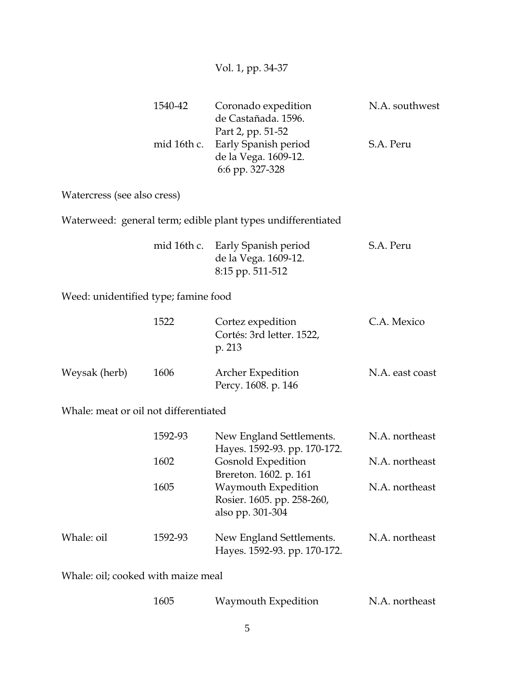## Vol. 1, pp. 34-37

| 1540-42 | Coronado expedition<br>de Castañada. 1596.<br>Part 2, pp. 51-52 | N.A. southwest |
|---------|-----------------------------------------------------------------|----------------|
|         | mid 16th c. Early Spanish period<br>de la Vega. 1609-12.        | S.A. Peru      |
|         | 6:6 pp. 327-328                                                 |                |

Watercress (see also cress)

Waterweed: general term; edible plant types undifferentiated

|  | mid 16th c. Early Spanish period | S.A. Peru |
|--|----------------------------------|-----------|
|  | de la Vega. 1609-12.             |           |
|  | 8:15 pp. 511-512                 |           |

Weed: unidentified type; famine food

|               | 1522 | Cortez expedition<br>Cortés: 3rd letter. 1522,<br>p. 213 | C.A. Mexico     |
|---------------|------|----------------------------------------------------------|-----------------|
| Weysak (herb) | 1606 | <b>Archer Expedition</b><br>Percy. 1608. p. 146          | N.A. east coast |

## Whale: meat or oil not differentiated

|            | 1592-93 | New England Settlements.                                              | N.A. northeast |
|------------|---------|-----------------------------------------------------------------------|----------------|
|            |         | Hayes. 1592-93. pp. 170-172.                                          |                |
|            | 1602    | Gosnold Expedition<br>Brereton. 1602. p. 161                          | N.A. northeast |
|            | 1605    | Waymouth Expedition<br>Rosier. 1605. pp. 258-260,<br>also pp. 301-304 | N.A. northeast |
| Whale: oil | 1592-93 | New England Settlements.<br>Hayes. 1592-93. pp. 170-172.              | N.A. northeast |

Whale: oil; cooked with maize meal

| 1605 | Waymouth Expedition | N.A. northeast |
|------|---------------------|----------------|
|------|---------------------|----------------|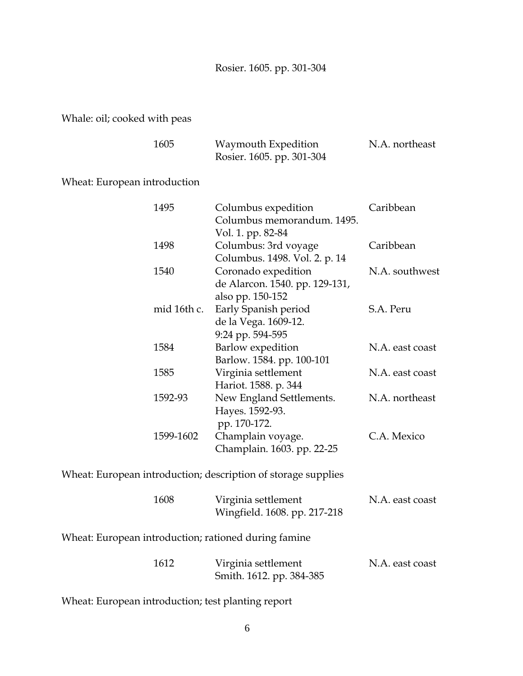Rosier. 1605. pp. 301-304

Whale: oil; cooked with peas

| 1605 | Waymouth Expedition       | N.A. northeast |
|------|---------------------------|----------------|
|      | Rosier. 1605. pp. 301-304 |                |

Wheat: European introduction

| 1495        | Columbus expedition            | Caribbean       |
|-------------|--------------------------------|-----------------|
|             | Columbus memorandum. 1495.     |                 |
|             | Vol. 1. pp. 82-84              |                 |
| 1498        | Columbus: 3rd voyage           | Caribbean       |
|             | Columbus. 1498. Vol. 2. p. 14  |                 |
| 1540        | Coronado expedition            | N.A. southwest  |
|             | de Alarcon. 1540. pp. 129-131, |                 |
|             | also pp. 150-152               |                 |
| mid 16th c. | Early Spanish period           | S.A. Peru       |
|             | de la Vega. 1609-12.           |                 |
|             | 9:24 pp. 594-595               |                 |
| 1584        | Barlow expedition              | N.A. east coast |
|             | Barlow. 1584. pp. 100-101      |                 |
| 1585        | Virginia settlement            | N.A. east coast |
|             | Hariot. 1588. p. 344           |                 |
| 1592-93     | New England Settlements.       | N.A. northeast  |
|             | Hayes. 1592-93.                |                 |
|             | pp. 170-172.                   |                 |
| 1599-1602   | Champlain voyage.              | C.A. Mexico     |
|             | Champlain. 1603. pp. 22-25     |                 |
|             |                                |                 |

Wheat: European introduction; description of storage supplies

| 1608 | Virginia settlement          | N.A. east coast |
|------|------------------------------|-----------------|
|      | Wingfield. 1608. pp. 217-218 |                 |

Wheat: European introduction; rationed during famine

| 1612 | Virginia settlement      | N.A. east coast |
|------|--------------------------|-----------------|
|      | Smith. 1612. pp. 384-385 |                 |

Wheat: European introduction; test planting report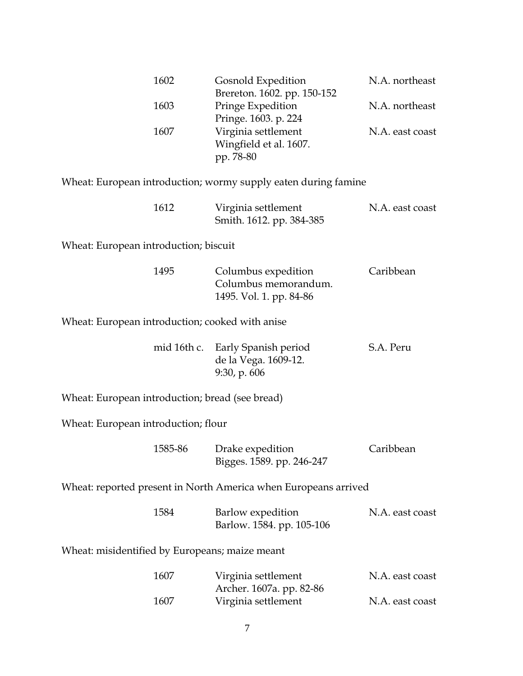| 1602                                            | Gosnold Expedition<br>Brereton. 1602. pp. 150-152                        | N.A. northeast  |
|-------------------------------------------------|--------------------------------------------------------------------------|-----------------|
| 1603                                            | Pringe Expedition<br>Pringe. 1603. p. 224                                | N.A. northeast  |
| 1607                                            | Virginia settlement<br>Wingfield et al. 1607.<br>pp. 78-80               | N.A. east coast |
|                                                 | Wheat: European introduction; wormy supply eaten during famine           |                 |
| 1612                                            | Virginia settlement<br>Smith. 1612. pp. 384-385                          | N.A. east coast |
| Wheat: European introduction; biscuit           |                                                                          |                 |
| 1495                                            | Columbus expedition<br>Columbus memorandum.<br>1495. Vol. 1. pp. 84-86   | Caribbean       |
| Wheat: European introduction; cooked with anise |                                                                          |                 |
|                                                 | mid 16th c. Early Spanish period<br>de la Vega. 1609-12.<br>9:30, p. 606 | S.A. Peru       |
| Wheat: European introduction; bread (see bread) |                                                                          |                 |
| Wheat: European introduction; flour             |                                                                          |                 |
| 1585-86                                         | Drake expedition<br>Bigges. 1589. pp. 246-247                            | Caribbean       |
|                                                 | Wheat: reported present in North America when Europeans arrived          |                 |
| 1584                                            | Barlow expedition<br>Barlow. 1584. pp. 105-106                           | N.A. east coast |
| Wheat: misidentified by Europeans; maize meant  |                                                                          |                 |
| 1607                                            | Virginia settlement<br>Archer. 1607a. pp. 82-86                          | N.A. east coast |
| 1607                                            | Virginia settlement                                                      | N.A. east coast |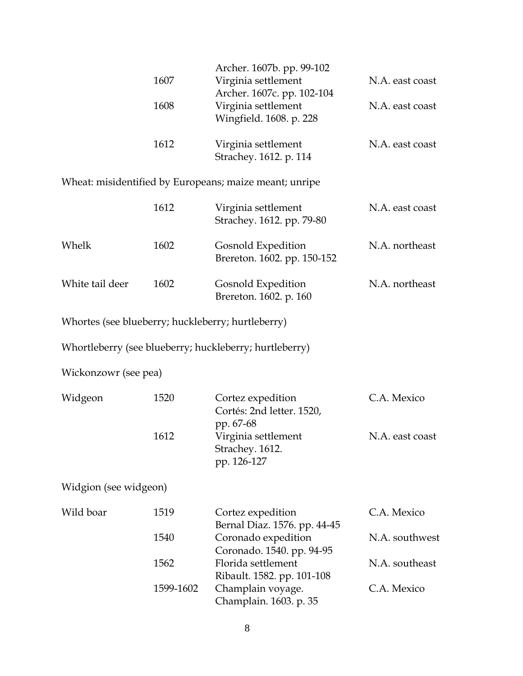|                                                   | 1607<br>1608 | Archer. 1607b. pp. 99-102<br>Virginia settlement<br>Archer. 1607c. pp. 102-104<br>Virginia settlement<br>Wingfield. 1608. p. 228 | N.A. east coast<br>N.A. east coast |
|---------------------------------------------------|--------------|----------------------------------------------------------------------------------------------------------------------------------|------------------------------------|
|                                                   | 1612         | Virginia settlement<br>Strachey. 1612. p. 114                                                                                    | N.A. east coast                    |
|                                                   |              | Wheat: misidentified by Europeans; maize meant; unripe                                                                           |                                    |
|                                                   | 1612         | Virginia settlement<br>Strachey. 1612. pp. 79-80                                                                                 | N.A. east coast                    |
| Whelk                                             | 1602         | Gosnold Expedition<br>Brereton. 1602. pp. 150-152                                                                                | N.A. northeast                     |
| White tail deer                                   | 1602         | Gosnold Expedition<br>Brereton. 1602. p. 160                                                                                     | N.A. northeast                     |
| Whortes (see blueberry; huckleberry; hurtleberry) |              |                                                                                                                                  |                                    |
|                                                   |              | Whortleberry (see blueberry; huckleberry; hurtleberry)                                                                           |                                    |
| Wickonzowr (see pea)                              |              |                                                                                                                                  |                                    |
| Widgeon                                           | 1520         | Cortez expedition<br>Cortés: 2nd letter. 1520,<br>pp. 67-68                                                                      | C.A. Mexico                        |
|                                                   | 1612         | Virginia settlement<br>Strachey. 1612.<br>pp. 126-127                                                                            | N.A. east coast                    |
| Widgion (see widgeon)                             |              |                                                                                                                                  |                                    |
| Wild boar                                         | 1519         | Cortez expedition<br>Bernal Diaz. 1576. pp. 44-45                                                                                | C.A. Mexico                        |
|                                                   | 1540         | Coronado expedition<br>Coronado. 1540. pp. 94-95                                                                                 | N.A. southwest                     |
|                                                   | 1562         | Florida settlement<br>Ribault. 1582. pp. 101-108                                                                                 | N.A. southeast                     |
|                                                   | 1599-1602    | Champlain voyage.<br>Champlain. 1603. p. 35                                                                                      | C.A. Mexico                        |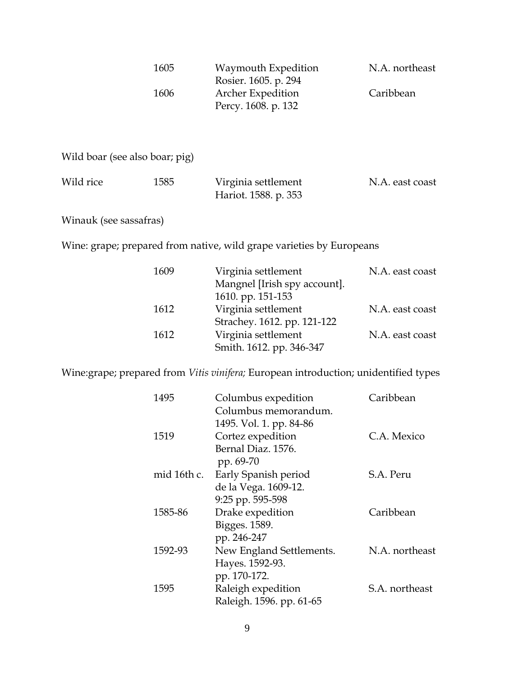| 1605 | Waymouth Expedition<br>Rosier. 1605. p. 294     | N.A. northeast |
|------|-------------------------------------------------|----------------|
| 1606 | <b>Archer Expedition</b><br>Percy. 1608. p. 132 | Caribbean      |

Wild boar (see also boar; pig)

| Wild rice | 1585 | Virginia settlement  | N.A. east coast |
|-----------|------|----------------------|-----------------|
|           |      | Hariot. 1588. p. 353 |                 |

Winauk (see sassafras)

Wine: grape; prepared from native, wild grape varieties by Europeans

| 1609 | Virginia settlement          | N.A. east coast |
|------|------------------------------|-----------------|
|      | Mangnel [Irish spy account]. |                 |
|      | 1610. pp. 151-153            |                 |
| 1612 | Virginia settlement          | N.A. east coast |
|      | Strachey. 1612. pp. 121-122  |                 |
| 1612 | Virginia settlement          | N.A. east coast |
|      | Smith. 1612. pp. 346-347     |                 |

Wine:grape; prepared from *Vitis vinifera;* European introduction; unidentified types

| 1495        | Columbus expedition      | Caribbean      |
|-------------|--------------------------|----------------|
|             | Columbus memorandum.     |                |
|             | 1495. Vol. 1. pp. 84-86  |                |
| 1519        | Cortez expedition        | C.A. Mexico    |
|             | Bernal Diaz. 1576.       |                |
|             | pp. 69-70                |                |
| mid 16th c. | Early Spanish period     | S.A. Peru      |
|             | de la Vega. 1609-12.     |                |
|             | 9:25 pp. 595-598         |                |
| 1585-86     | Drake expedition         | Caribbean      |
|             | Bigges. 1589.            |                |
|             | pp. 246-247              |                |
| 1592-93     | New England Settlements. | N.A. northeast |
|             | Hayes. 1592-93.          |                |
|             | pp. 170-172.             |                |
| 1595        | Raleigh expedition       | S.A. northeast |
|             | Raleigh. 1596. pp. 61-65 |                |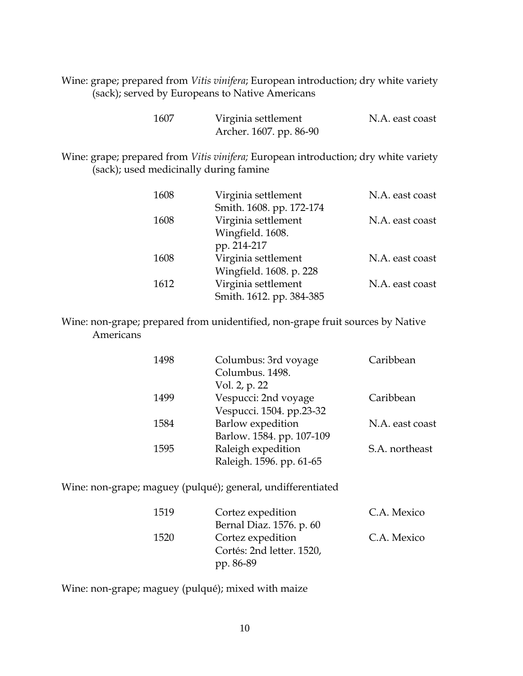Wine: grape; prepared from *Vitis vinifera*; European introduction; dry white variety (sack); served by Europeans to Native Americans

| 1607 | Virginia settlement     | N.A. east coast |
|------|-------------------------|-----------------|
|      | Archer. 1607. pp. 86-90 |                 |

Wine: grape; prepared from *Vitis vinifera;* European introduction; dry white variety (sack); used medicinally during famine

| 1608 | Virginia settlement      | N.A. east coast |
|------|--------------------------|-----------------|
|      | Smith. 1608. pp. 172-174 |                 |
| 1608 | Virginia settlement      | N.A. east coast |
|      | Wingfield. 1608.         |                 |
|      | pp. 214-217              |                 |
| 1608 | Virginia settlement      | N.A. east coast |
|      | Wingfield. 1608. p. 228  |                 |
| 1612 | Virginia settlement      | N.A. east coast |
|      | Smith. 1612. pp. 384-385 |                 |

Wine: non-grape; prepared from unidentified, non-grape fruit sources by Native Americans

| 1498 | Columbus: 3rd voyage<br>Columbus, 1498.<br>Vol. 2, p. 22 | Caribbean       |
|------|----------------------------------------------------------|-----------------|
| 1499 | Vespucci: 2nd voyage<br>Vespucci. 1504. pp.23-32         | Caribbean       |
| 1584 | Barlow expedition<br>Barlow. 1584. pp. 107-109           | N.A. east coast |
| 1595 | Raleigh expedition<br>Raleigh. 1596. pp. 61-65           | S.A. northeast  |

Wine: non-grape; maguey (pulqué); general, undifferentiated

| 1519 | Cortez expedition         | C.A. Mexico |
|------|---------------------------|-------------|
|      | Bernal Diaz. 1576. p. 60  |             |
| 1520 | Cortez expedition         | C.A. Mexico |
|      | Cortés: 2nd letter. 1520, |             |
|      | pp. 86-89                 |             |

Wine: non-grape; maguey (pulqué); mixed with maize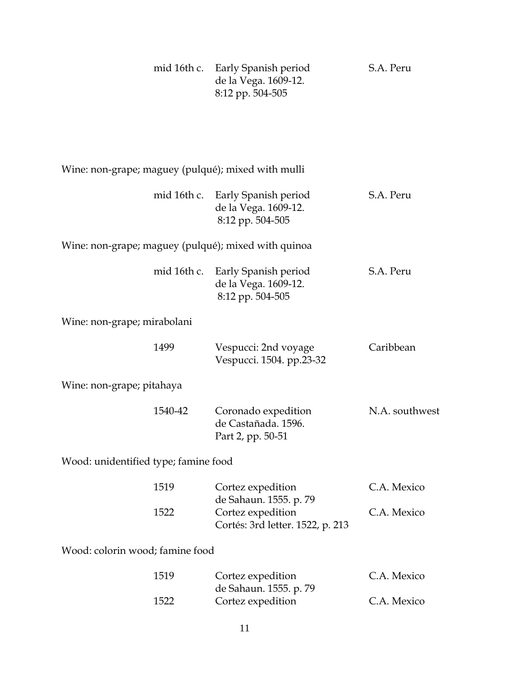|                                                     | mid 16th c. Early Spanish period<br>de la Vega. 1609-12.<br>8:12 pp. 504-505    | S.A. Peru      |
|-----------------------------------------------------|---------------------------------------------------------------------------------|----------------|
|                                                     |                                                                                 |                |
| Wine: non-grape; maguey (pulqué); mixed with mulli  |                                                                                 |                |
|                                                     | mid 16th c. Early Spanish period<br>de la Vega. 1609-12.<br>8:12 pp. 504-505    | S.A. Peru      |
| Wine: non-grape; maguey (pulqué); mixed with quinoa |                                                                                 |                |
| mid 16th c.                                         | Early Spanish period<br>de la Vega. 1609-12.<br>8:12 pp. 504-505                | S.A. Peru      |
| Wine: non-grape; mirabolani                         |                                                                                 |                |
| 1499                                                | Vespucci: 2nd voyage<br>Vespucci. 1504. pp.23-32                                | Caribbean      |
| Wine: non-grape; pitahaya                           |                                                                                 |                |
| 1540-42                                             | Coronado expedition<br>de Castañada. 1596.<br>Part 2, pp. 50-51                 | N.A. southwest |
| Wood: unidentified type; famine food                |                                                                                 |                |
| 1519                                                | Cortez expedition                                                               | C.A. Mexico    |
| 1522                                                | de Sahaun. 1555. p. 79<br>Cortez expedition<br>Cortés: 3rd letter. 1522, p. 213 | C.A. Mexico    |
| Wood: colorin wood; famine food                     |                                                                                 |                |
| 1519                                                | Cortez expedition<br>de Sahaun. 1555. p. 79                                     | C.A. Mexico    |
| 1522                                                | Cortez expedition                                                               | C.A. Mexico    |
|                                                     | 11                                                                              |                |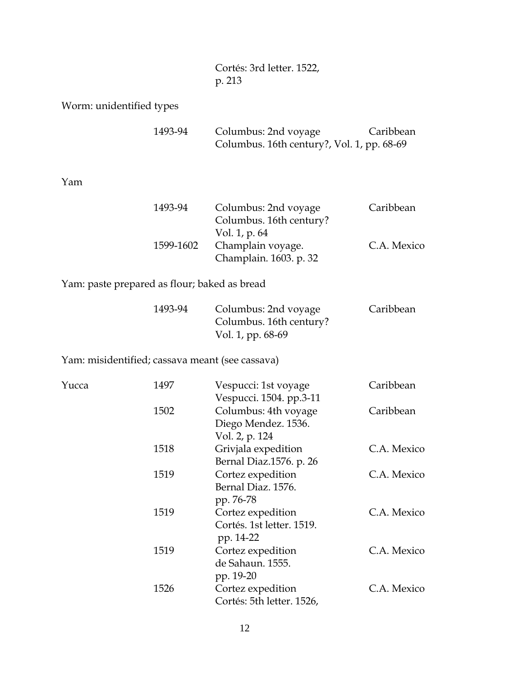Cortés: 3rd letter. 1522, p. 213

Worm: unidentified types

| 1493-94 | Columbus: 2nd voyage                       | Caribbean |
|---------|--------------------------------------------|-----------|
|         | Columbus. 16th century?, Vol. 1, pp. 68-69 |           |

Yam

| 1493-94   | Columbus: 2nd voyage    | Caribbean   |
|-----------|-------------------------|-------------|
|           | Columbus. 16th century? |             |
|           | Vol. 1, p. 64           |             |
| 1599-1602 | Champlain voyage.       | C.A. Mexico |
|           | Champlain. 1603. p. 32  |             |

Yam: paste prepared as flour; baked as bread

| 1493-94 | Columbus: 2nd voyage    | Caribbean |
|---------|-------------------------|-----------|
|         | Columbus. 16th century? |           |
|         | Vol. 1, pp. 68-69       |           |

Yam: misidentified; cassava meant (see cassava)

| Yucca | 1497                      | Vespucci: 1st voyage      | Caribbean   |
|-------|---------------------------|---------------------------|-------------|
|       |                           | Vespucci. 1504. pp.3-11   |             |
|       | 1502                      | Columbus: 4th voyage      | Caribbean   |
|       |                           | Diego Mendez. 1536.       |             |
|       |                           | Vol. 2, p. 124            |             |
|       | 1518                      | Grivjala expedition       | C.A. Mexico |
|       |                           | Bernal Diaz.1576. p. 26   |             |
|       | 1519                      | Cortez expedition         | C.A. Mexico |
|       |                           | Bernal Diaz. 1576.        |             |
|       |                           | pp. 76-78                 |             |
| 1519  |                           | Cortez expedition         | C.A. Mexico |
|       | Cortés. 1st letter. 1519. |                           |             |
|       |                           | pp. 14-22                 |             |
| 1519  | Cortez expedition         | C.A. Mexico               |             |
|       |                           | de Sahaun. 1555.          |             |
|       |                           | pp. 19-20                 |             |
|       | 1526                      | Cortez expedition         | C.A. Mexico |
|       |                           | Cortés: 5th letter. 1526, |             |